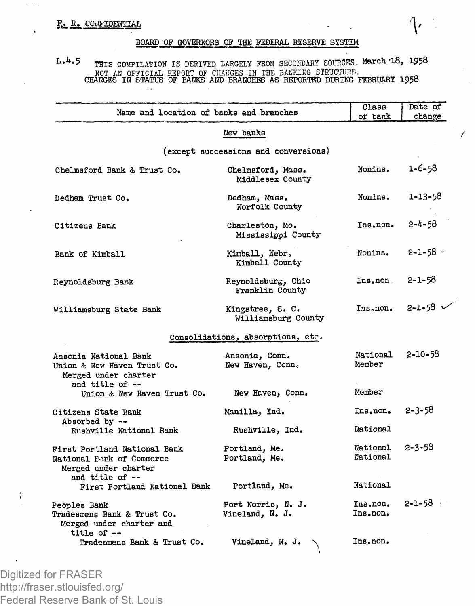$\ddot{\phantom{1}}$ 

## **BOARD OF GOVERNORS OF THE FEDERAL RESERVE SYSTEM**

**L.4.5 COMPILATION** IS DERIVED LARGELY **FROM** SECONDARY **SOURCES. March '18, 1958** NOT AN OFFICIAL REPORT OF CIIAIIGES IN THE BAEKIKG STRUCTURE. **CHANGES IN STATUS OF BANKS AND BRANCHES AS REPORTED DURING FEBRUARY 1958**

| Name and location of banks and branches                                           |                                         | Class<br>of bank     | Date of<br>change |
|-----------------------------------------------------------------------------------|-----------------------------------------|----------------------|-------------------|
|                                                                                   | New banks                               |                      |                   |
|                                                                                   | (except successions and conversions)    |                      |                   |
| Chelmsford Bank & Trust Co.                                                       | Chelmsford, Mass.<br>Middlesex County   | Nonins.              | $1 - 6 - 58$      |
| Dedham Trust Co.                                                                  | Dedham, Mass.<br>Norfolk County         | Nonins.              | 1-13-58           |
| Citizens Bank                                                                     | Charleston, Mo.<br>Mississippi County   | Ins.non.             | $2 - 4 - 58$      |
| Bank of Kimball                                                                   | Kimball, Nebr.<br>Kimball County        | Nonina.              | $2 - 1 - 58$      |
| Reynoldsburg Bank                                                                 | Reynoldsburg, Ohio<br>Franklin County   | Ins.non.             | $2 - 1 - 58$      |
| Williamsburg State Bank                                                           | Kingstree, S. C.<br>Williamsburg County | Ins.non.             | $2 - 1 - 58$      |
|                                                                                   | Consolidations, absorptions, etc.       |                      |                   |
| Ansonia National Bank<br>Union & New Haven Trust Co.<br>Merged under charter      | Ansonia, Conn.<br>New Haven, Conn.      | National<br>Member   | $2 - 10 - 58$     |
| and title of --<br>Union & New Haven Trust Co.                                    | New Haven, Conn.                        | Member               |                   |
| Citizens State Bank                                                               | Manilla, Ind.                           | Ins.non.             | $2 - 3 - 58$      |
| Absorbed by --<br>Rushville National Bank                                         | Rushville, Ind.                         | National             |                   |
| First Portland National Bank<br>National Bank of Commerce<br>Merged under charter | Portland, Me.<br>Portland, Me.          | National<br>National | $2 - 3 - 58$      |
| and title of $-$<br>First Portland National Bank                                  | Portland, Me.                           | National             |                   |
| Peoples Bank<br>Tradesmens Bank & Trust Co.<br>Merged under charter and           | Port Norris, N. J.<br>Vineland, N. J.   | Ins.non.<br>Ins.non. | $2 - 1 - 58$      |
| title of --<br>Tradesmens Bank & Trust Co.                                        | Vineland, N. J.                         | Ins.non.             |                   |

Digitized for FRASER http://fraser.stlouisfed.org/ Federal Reserve Bank of St. Louis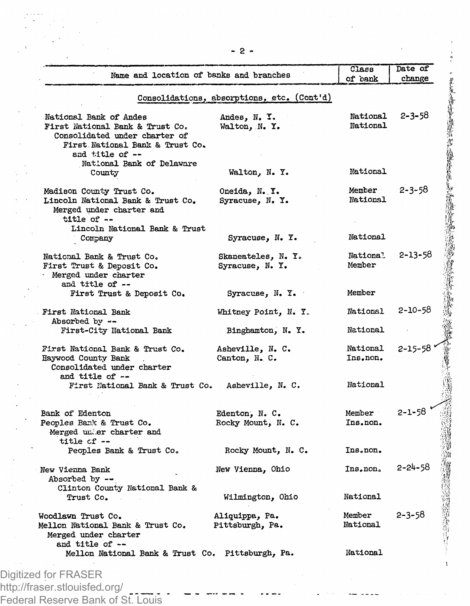| Name and location of banks and branches                                      |                                            | of pank              | change        |
|------------------------------------------------------------------------------|--------------------------------------------|----------------------|---------------|
|                                                                              | Consolidations, absorptions, etc. (Cont'd) |                      |               |
| National Bank of Andes                                                       | Andes, N. Y.                               | National<br>National | $2 - 3 - 58$  |
| First National Bank & Trust Co.<br>Consolidated under charter of             | Walton, N.Y.                               |                      |               |
| First National Bank & Trust Co.<br>and title of --                           |                                            |                      |               |
| National Bank of Delaware<br>County                                          | Walton, N.Y.                               | National             |               |
| Madison County Trust Co.                                                     | Oneida, N.Y.                               | Member               | 2-3-58        |
| Lincoln National Bank & Trust Co.<br>Merged under charter and<br>title of -- | Syracuse, N.Y.                             | National             |               |
| Lincoln National Bank & Trust                                                |                                            |                      |               |
| Company                                                                      | Syracuse, N. Y.                            | National             |               |
| National Bank & Trust Co.<br>First Trust & Deposit Co.                       | Skaneateles, N. Y.<br>Syracuse, N. Y.      | National<br>Member   | 2-13-58       |
| Merged under charter<br>and title of --                                      |                                            |                      |               |
| First Trust & Deposit Co.                                                    | Syracuse, N.Y.                             | Member               |               |
| First National Bank<br>Absorbed by $\sim$ -                                  | Whitney Point, N. Y.                       | National             | $2 - 10 - 58$ |
| First-City National Bank                                                     | Binghamton, N.Y.                           | National             |               |
| First National Bank & Trust Co.                                              | Asheville, N. C.                           | National             | $2 - 15 - 58$ |
| Haywood County Bank<br>Consolidated under charter<br>and title of --         | Canton, N.C.                               | Ins.non.             |               |
| First National Bank & Trust Co.                                              | Asheville, N. C.                           | National             |               |
| Bank of Edenton                                                              | Edenton, N. C.                             | Member               | 2-1-58        |
| Peoples Bank & Trust Co.<br>Merged under charter and<br>title cf --          | Rocky Mount, N. C.                         | Ins.non.             |               |
| Peoples Bank & Trust Co.                                                     | Rocky Mount, N. C.                         | Ins.non.             |               |
| New Vienna Bank<br>Absorbed by --                                            | New Vienna, Ohio                           | Ins.non.             | 2-24-58       |
| Clinton County National Bank &<br>Trust Co.                                  | Wilmington, Ohio                           | National             |               |
| Woodlawn Trust Co.                                                           | Aliquippa, Pa.                             | Member               | $2 - 3 - 58$  |
| Mellon National Bank & Trust Co.<br>Merged under charter<br>and title of --  | Pittsburgh, Pa.                            | National             |               |
| Mellon National Bank & Trust Co. Pittsburgh, Pa.                             |                                            | National             |               |

Federal Reserve Bank of St. Louis

 $-2-$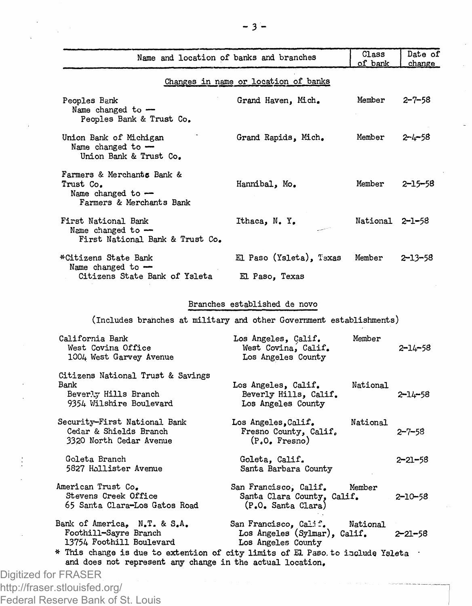| Name and location of banks and branches                                                                                                                                   |                                                                             | Class<br>of bank | Date of<br>change |
|---------------------------------------------------------------------------------------------------------------------------------------------------------------------------|-----------------------------------------------------------------------------|------------------|-------------------|
|                                                                                                                                                                           | Changes in name or location of banks                                        |                  |                   |
| Peoples Bank<br>Name changed to -<br>Peoples Bank & Trust Co.                                                                                                             | Grand Haven, Mich.                                                          | Member           | $2 - 7 - 58$      |
| Union Bank of Michigan<br>Name changed to -<br>Union Bank & Trust Co.                                                                                                     | Grand Rapids, Mich.                                                         | Member           | 2-4-58            |
| Farmers & Merchants Bank &<br>Trust Co.<br>Name changed to $-$<br>Farmers & Merchants Bank                                                                                | Hannibal, Mo.                                                               | Member           | 2–15–58           |
| First National Bank<br>Name changed to -<br>First National Bank & Trust Co.                                                                                               | Ithaca, N.Y.                                                                | National 2-1-58  |                   |
| *Citizens State Bank                                                                                                                                                      | El Paso (Ysleta), Texas                                                     | Member           | 2–13–58           |
| Name changed to -<br>Citizens State Bank of Ysleta                                                                                                                        | El Paso, Texas                                                              |                  |                   |
|                                                                                                                                                                           | Branches established de novo                                                |                  |                   |
| (Includes branches at military and other Government establishments)                                                                                                       |                                                                             |                  |                   |
| California Bank<br>West Covina Office<br>1004 West Garvey Avenue                                                                                                          | Los Angeles, Calif.<br>West Covina, Calif.<br>Los Angeles County            | Member           | 2–14–58           |
| Citizens National Trust & Savings<br>Bank<br>Beverly Hills Branch<br>9354 Wilshire Boulevard                                                                              | Los Angeles, Calif.<br>Beverly Hills, Calif.<br>Los Angeles County          | National         | 2–14–58           |
| Security-First National Bank<br>Cedar & Shields Branch<br>3320 North Cedar Avenue                                                                                         | Los Angeles,Calif.<br>Fresno County, Calif.<br>$(PeOe$ Fresno)              | National         | $2 - 7 - 58$      |
| Goleta Branch<br>5827 Hollister Avenue                                                                                                                                    | Goleta, Calif.<br>Santa Barbara County                                      |                  | 2–21–58           |
| American Trust Co.<br>Stevens Creek Office<br>65 Santa Clara-Los Gatos Road                                                                                               | San Francisco, Calif.<br>Santa Clara County, Calif.<br>(P.O. Santa Clara)   | Member           | 2-10-58           |
| Bank of America, N.T. & S.A.<br>Foothill-Sayre Branch<br>13754 Foothill Boulevard<br>$*$ This change is due to extention of city limits of El Paso to include Ysleta $\,$ | San Francisco, Calif.<br>Los Angeles (Sylmar), Calif.<br>Los Angeles County | National         | $2 - 21 - 58$     |
| and does not represent any change in the actual location.                                                                                                                 |                                                                             |                  |                   |
| Digitized for FRASER<br>http://fraser.stlouisfed.org/                                                                                                                     |                                                                             |                  |                   |

Federal Reserve Bank of St. Louis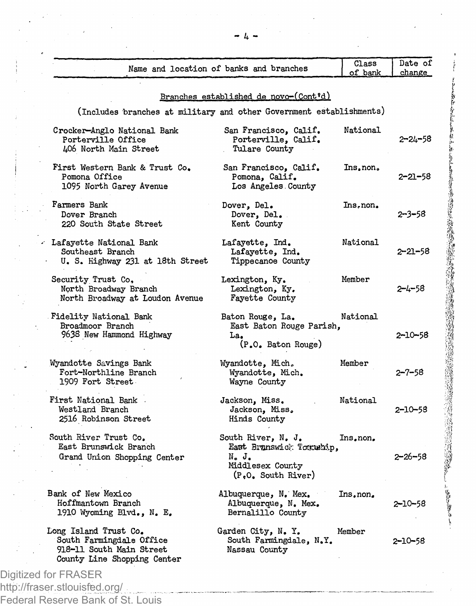|                                                                                                              | Name and location of banks and branches                                                           | Class<br>of bank | Date of<br>change |  |  |  |
|--------------------------------------------------------------------------------------------------------------|---------------------------------------------------------------------------------------------------|------------------|-------------------|--|--|--|
|                                                                                                              | Branches established de novo-(Cont'd)                                                             |                  |                   |  |  |  |
| (Includes branches at military and other Government establishments)                                          |                                                                                                   |                  |                   |  |  |  |
| Crocker-Anglo National Bank<br>Porterville Office<br>406 North Main Street                                   | San Francisco, Calif.<br>Porterville, Calif.<br>Tulare County                                     | National         | 2–24–58           |  |  |  |
| First Western Bank & Trust Co.<br>Pomona Office<br>1095 North Garey Avenue                                   | San Francisco, Calif.<br>Pomona, Calif.<br>Los Angeles County                                     | Ins, non.        | 2–21–58           |  |  |  |
| Farmers Bank<br>Dover Branch<br>220 South State Street                                                       | Dover, Del.<br>Dover, Del.<br>Kent County                                                         | Ins, non.        | 2–3–58            |  |  |  |
| - Lafayette National Bank<br>Southeast Branch<br>U. S. Highway 231 at 18th Street                            | Lafayette. Ind.<br>Lafayette, Ind.<br>Tippecanoe County                                           | National         | 2-21-58           |  |  |  |
| Security Trust Co,<br>North Broadway Branch<br>North Broadway at Loudon Avenue                               | Lexington, Ky.<br>Lexington, Ky.<br>Fayette County                                                | Member           | 2-4-58            |  |  |  |
| Fidelity National Bank<br>Broadmoor Branch<br>9638 New Hammond Highway                                       | Baton Rouge, La.<br>East Baton Rouge Parish,<br>La.<br>(P.O. Baton Rouge)                         | National         | 2-10-58           |  |  |  |
| Wyandotte Savings Bank<br>Fort-Northline Branch<br>1909 Fort Street                                          | Wyandotte, Mich.<br>Wyandotte, Mich.<br>Wayne County                                              | Member           | 2–7–58            |  |  |  |
| First National Bank.<br>Westland Branch<br>2516 Robinson Street                                              | Jackson, Miss.<br>Jackson, Miss.<br>Hinds County                                                  | National         | 2-10-58           |  |  |  |
| South River Trust Co.<br>East Brunswick Branch<br>Grand Union Shopping Center                                | South River, N. J.<br>East Branswick Tocauhip.<br>N. J.<br>Middlesex County<br>(P.O. South River) | Ins.non.         | $2 - 26 - 58$     |  |  |  |
| Bank of New Mexico<br>Hoffmantown Branch<br>1910 Wyoming Blvd., N. E.                                        | Albuquerque, N. Mex.<br>Albuquerque, N. Mex.<br>Bernalillo County                                 | Ins.non.         | 2-10-58           |  |  |  |
| Long Island Trust Co.<br>South Farmingdale Office<br>918-11 South Main Street<br>County Line Shopping Center | Garden City, N. Y.<br>South Farmingdale, N.Y.<br>Nassau County                                    | Member           | $2 - 10 - 58$     |  |  |  |

http://fraser.stlouisfed.org/ Federal Reserve Bank of St. Louis *~ k -*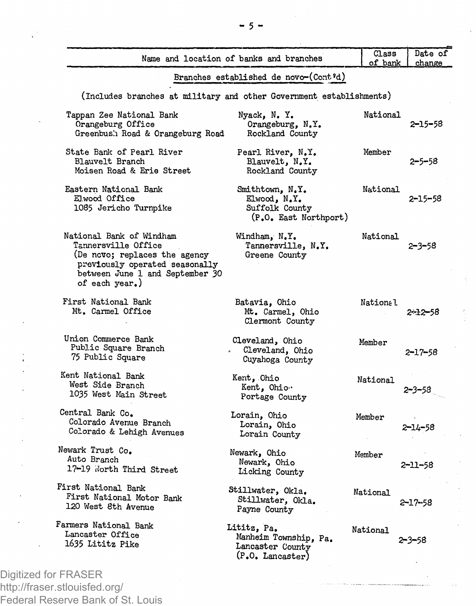|                                                                                                                                                                         | Name and location of banks and branches                                      | Class<br>of bank | Date of<br>change |  |  |
|-------------------------------------------------------------------------------------------------------------------------------------------------------------------------|------------------------------------------------------------------------------|------------------|-------------------|--|--|
|                                                                                                                                                                         | Branches established de novo-(Cont'd)                                        |                  |                   |  |  |
| (Includes branches at military and other Government establishments)                                                                                                     |                                                                              |                  |                   |  |  |
| Tappan Zee National Bank<br>Orangeburg Office<br>Greenbush Road & Orangeburg Road                                                                                       | Nyack, N.Y.<br>Orangeburg, N.Y.<br>Rockland County                           | National         | 2-15-58           |  |  |
| State Bank of Pearl River<br><b>Blauvelt Branch</b><br>Moisen Road & Erie Street                                                                                        | Pearl River, N.Y.<br>Blauvelt, N.Y.<br>Rockland County                       | Member           | 2–5–58            |  |  |
| Eastern National Bank<br>Elwood Office<br>1085 Jericho Turnpike                                                                                                         | Smithtown, N.Y.<br>Elwood, N.Y.<br>Suffolk County<br>(P.O. East Northport)   | National         | 2-15-58           |  |  |
| National Bank of Windham<br>Tannersville Office<br>(De novo; replaces the agency<br>previously operated seasonally<br>between June 1 and September 30<br>of each year.) | Windham, N.Y.<br>Tannersville, N.Y.<br>Greene County                         | National         | 2-3-58            |  |  |
| First National Bank<br>Mt. Carmel Office                                                                                                                                | Batavia, Ohio<br>Mt. Carmel, Ohio<br>Clermont County                         | <b>National</b>  | 2-12-58           |  |  |
| Union Commerce Bank<br>Public Square Branch<br>75 Public Square                                                                                                         | Cleveland, Ohio<br>Cleveland, Ohio<br>Cuyahoga County                        | Member           | 2-17-58           |  |  |
| Kent National Bank<br>West Side Branch<br>1035 West Main Street                                                                                                         | Kent, Chio<br>Kent, Ohio<br>Portage County                                   | National         | $2 - 3 - 53$      |  |  |
| Central Bank Co.<br>Colorado Avenue Branch<br>Colorado & Lehigh Avenues                                                                                                 | Lorain, Ohio<br>Lorain, Ohio<br>Lorain County                                | Member           | -14–58            |  |  |
| Newark Trust Co.<br>Auto Branch<br>17-19 North Third Street                                                                                                             | Newark, Ohio<br>Newark, Ohio<br>Licking County                               | Member           | 2–11–58           |  |  |
| First National Bank<br>First National Motor Bank<br>120 West 8th Avenue                                                                                                 | Stillwater, Okla.<br>Stillwater, Okla.<br>Payne County                       | National         | 2-17-58           |  |  |
| Farmers National Bank<br>Lancaster Office<br>1635 Lititz Pike                                                                                                           | Lititz, Pa.<br>Manheim Township, Pa.<br>Lancaster County<br>(P.O. Lancaster) | National         | 2-3-58            |  |  |

http://fraser.stlouisfed.org/ Federal Reserve Bank of St. Louis **- 5 -**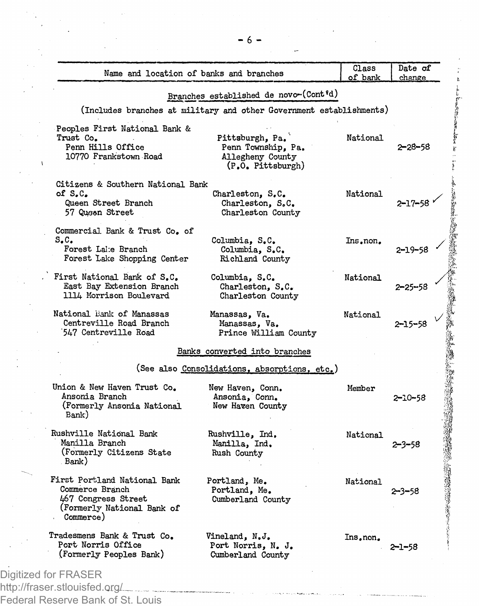| Name and location of banks and branches                                                                           |                                                                                | Class<br>of bank | Date of<br>change |
|-------------------------------------------------------------------------------------------------------------------|--------------------------------------------------------------------------------|------------------|-------------------|
|                                                                                                                   | Branches established de novo-(Cont'd)                                          |                  |                   |
|                                                                                                                   | (Includes branches at military and other Government establishments)            |                  |                   |
| Peoples First National Bank &<br>Trust Co.<br>Penn Hills Office<br>10770 Frankstown Road                          | Pittsburgh, Pa.<br>Penn Township, Pa.<br>Allegheny County<br>(P.O. Pittsburgh) | National         | 2–28–58           |
| Citizens & Southern National Bank<br>of $S.C.$<br>Queen Street Branch<br>57 Queen Street                          | Charleston, S.C.<br>Charleston, S.C.<br>Charleston County                      | National         | 2-17-58           |
| Commercial Bank & Trust Co. of<br>S.C.<br>Forest Lake Branch<br>Forest Lake Shopping Center                       | Columbia, S.C.<br>Columbia, S.C.<br>Richland County                            | Ins.non.         | 2–19–58           |
| First National Bank of S.C.<br>East Bay Extension Branch<br>1114 Morrison Boulevard                               | Columbia, S.C.<br>Charleston, S.C.<br>Charleston County                        | National         | 2–25–58           |
| National Bank of Manassas<br>Centreville Road Branch<br>547 Centreville Road                                      | Manassas, Va.<br>Manassas, Va.<br>Prince William County                        | National         | 2–15–58           |
|                                                                                                                   | Banks converted into branches                                                  |                  |                   |
|                                                                                                                   | (See also Consolidations, absorptions, etc.)                                   |                  |                   |
| Union & New Haven Trust Co.<br>Ansonia Branch<br>(Formerly Ansonia National<br>Bank)                              | New Haven, Conn.<br>Ansonia, Conn.<br>New Haven County                         | Member           | 2-10-58           |
| Rushville National Bank<br>Manilla Branch<br>(Formerly Citizens State<br>Bank)                                    | Rushville, Ind.<br>Manilla, Ind.<br>Rush County                                | National         | 2–3–58            |
| First Portland National Bank<br>Commerce Branch<br>467 Congress Street<br>(Formerly National Bank of<br>Commerce) | Portland, Me.<br>Portland, Me.<br>Cumberland County                            | National         | 2–3–58            |
| Tradesmens Bank & Trust Co.<br>Port Norris Office<br>(Formerly Peoples Bank)                                      | Vineland, N.J.<br>Port Norris, N. J.<br>Cumberland County                      | Ins.non.         | 2–1–58            |

http://fraser.stlouisfed.org/ Federal Reserve Bank of St. Louis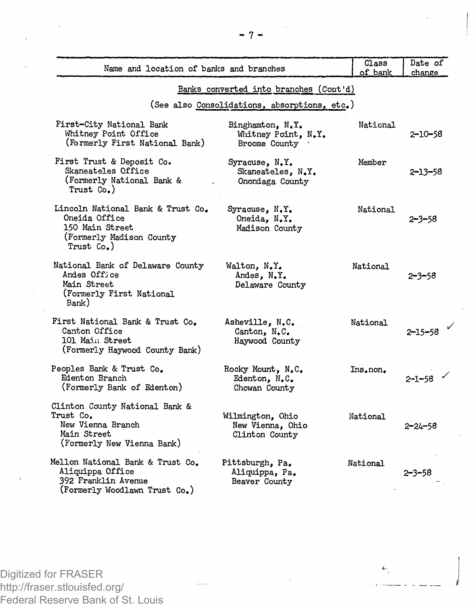| Name and location of banks and branches                                                                         |                                                          | Class<br>of bank | Date of<br>change |
|-----------------------------------------------------------------------------------------------------------------|----------------------------------------------------------|------------------|-------------------|
|                                                                                                                 | Banks converted into branches (Cont'd)                   |                  |                   |
|                                                                                                                 | (See also Consolidations, absorptions, etc.)             |                  |                   |
| First-City National Bank<br>Whitney Point Office<br>(Formerly First National Bank)                              | Binghamton, N.Y.<br>Whitney Point, N.Y.<br>Broome County | National         | 2-10-58           |
| First Trust & Deposit Co.<br>Skaneateles Office<br>(Formerly National Bank &<br>Trust Co.)                      | Syracuse, N.Y.<br>Skaneateles, N.Y.<br>Onondaga County   | Member           | $2 - 13 - 58$     |
| Lincoln National Bank & Trust Co.<br>Oneida Office<br>150 Main Street<br>(Formerly Madison County<br>Trust Co.) | Syracuse, N.Y.<br>Oneida, N.Y.<br>Madison County         | National         | $2 - 3 - 58$      |
| National Bank of Delaware County<br>Andes Office<br>Main Street<br>(Formerly First National<br>Bank)            | Walton, N.Y.<br>Andes, N.Y.<br>Delaware County           | National         | $2 - 3 - 58$      |
| First National Bank & Trust Co.<br>Canton Office<br>101 Main Street<br>(Formerly Haywood County Bank)           | Asheville, N.C.<br>Canton, N.C.<br>Haywood County        | National         | $2 - 15 - 58$     |
| Peoples Bank & Trust Co.<br>Edenton Branch<br>(Formerly Bank of Edenton)                                        | Rocky Mount, N.C.<br>Edenton, N.C.<br>Chowan County      | Ins.non.         | $2 - 1 - 58$      |
| Clinton County National Bank &<br>Trust Co.<br>New Vienna Branch<br>Main Street<br>(Formerly New Vienna Bank)   | Wilmington, Ohio<br>New Vienna, Ohio<br>Clinton County   | National         | $2 - 24 - 58$     |
| Mellon National Bank & Trust Co.<br>Aliquippa Office<br>392 Franklin Avenue<br>(Formerly Woodlawn Trust Co.)    | Pittsburgh, Pa.<br>Aliquippa, Pa.<br>Beaver County       | National         | 2–3–58            |

Digitized for FRASER http://fraser.stlouisfed.org/ Federal Reserve Bank of St. Louis  $\overline{\mathbf{e}}_2$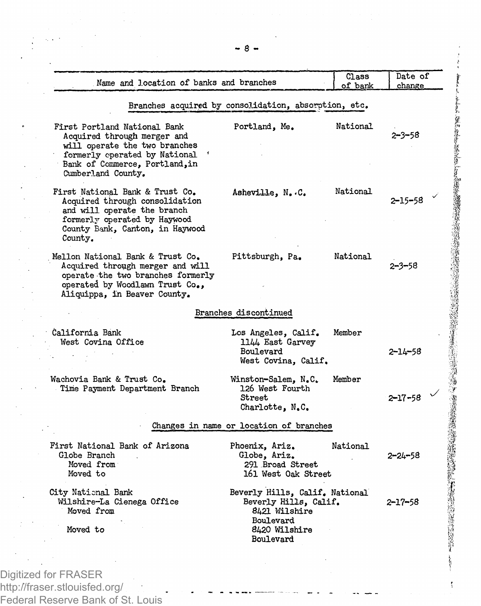| First Portland National Bank<br>Acquired through merger and<br>will operate the two branches<br>formerly operated by National<br>Bank of Commerce, Portland, in<br>Cumberland County.<br>First National Bank & Trust Co.<br>Acquired through consolidation | Branches acquired by consolidation, absorption, etc.<br>Portland, Me.<br>Asheville, N. C.                           | National | 2–3–58        |
|------------------------------------------------------------------------------------------------------------------------------------------------------------------------------------------------------------------------------------------------------------|---------------------------------------------------------------------------------------------------------------------|----------|---------------|
|                                                                                                                                                                                                                                                            |                                                                                                                     |          |               |
|                                                                                                                                                                                                                                                            |                                                                                                                     |          |               |
| and will operate the branch<br>formerly operated by Haywood<br>County Bank, Canton, in Haywood<br>County.                                                                                                                                                  |                                                                                                                     | National | 2-15-58       |
| Mellon National Bank & Trust Co.<br>Acquired through merger and will<br>operate the two branches formerly<br>operated by Woodlawn Trust Co.,<br>Aliquippa, in Beaver County.                                                                               | Pittsburgh, Pa.                                                                                                     | National | $2 - 3 - 58$  |
|                                                                                                                                                                                                                                                            | Branches discontinued                                                                                               |          |               |
| California Bank<br>West Covina Office                                                                                                                                                                                                                      | Los Angeles, Calif.<br>1144 East Garvey<br>Boulevard<br>West Covina, Calif.                                         | Member   | $2 - 14 - 58$ |
| Wachovia Bank & Trust Co.<br>Time Payment Department Branch                                                                                                                                                                                                | Winston-Salem, N.C.<br>126 West Fourth<br>Street<br>Charlotte, N.C.                                                 | Member   | $2 - 17 - 58$ |
|                                                                                                                                                                                                                                                            | Changes in name or location of branches                                                                             |          |               |
| First National Bank of Arizona<br>Globe Branch<br>Moved from<br>Moved to                                                                                                                                                                                   | Phoenix, Ariz.<br>Globe, Ariz.<br>291 Broad Street<br>161 West Oak Street                                           | National | 2–24–58       |
| City National Bank<br>Wilshire-La Cienega Office<br>Moved from<br>Moved to                                                                                                                                                                                 | Beverly Hills, Calif, National<br>Beverly Hills, Calif.<br>8421 Wilshire<br>Boulevard<br>8420 Wilshire<br>Boulevard |          | 2–17–58       |
|                                                                                                                                                                                                                                                            |                                                                                                                     |          |               |

ţ

Digitized for FRASER http://fraser.stlouisfed.org/ Federal Reserve Bank of St. Louis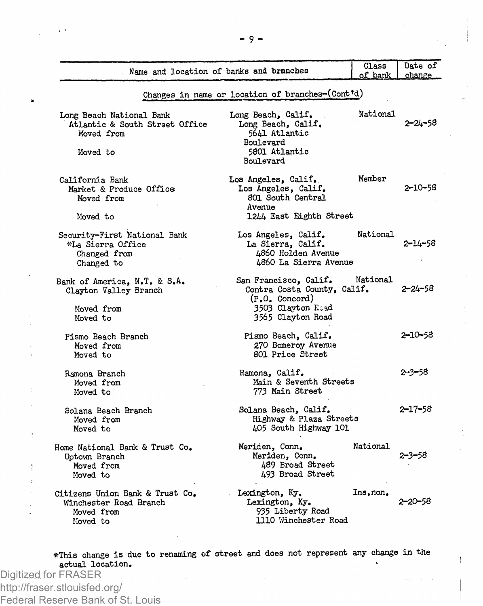|                                                                                      | Name and location of banks and branches                                                                            | Class<br>of bank | Date of<br>change |  |  |
|--------------------------------------------------------------------------------------|--------------------------------------------------------------------------------------------------------------------|------------------|-------------------|--|--|
| Changes in name or location of branches-(Cont'd)                                     |                                                                                                                    |                  |                   |  |  |
| Long Beach National Bank<br>Atlantic & South Street Office<br>Moved from<br>Moved to | Long Beach, Calif.<br>Long Beach, Calif.<br>5641 Atlantic<br>Boulevard<br>5801 Atlantic<br>Boulevard               | National         | 2–24–58           |  |  |
| California Bank<br>Market & Produce Office<br>Moved from<br>Moved to                 | Los Angeles, Calif.<br>Los Angeles, Calif.<br>801 South Central<br>Avenue<br>1244 East Eighth Street               | Member           | 2-10-58           |  |  |
| Security-First National Bank<br>*La Sierra Office<br>Changed from<br>Changed to      | Los Angeles, Calif.<br>La Sierra, Calif.<br>4860 Holden Avenue<br>L860 La Sierra Avenue                            | National         | 2–14–58           |  |  |
| Bank of America, N.T. & S.A.<br>Clayton Valley Branch<br>Moved from<br>Moved to      | San Francisco, Calif.<br>Contra Costa County, Calif.<br>$(P.0.$ Concord)<br>3503 Clavton Road<br>3565 Clayton Road | National         | 2-24-58           |  |  |
| Pismo Beach Branch<br>Moved from<br>Moved to                                         | Pismo Beach, Calif.<br>270 Bomeroy Avenue<br>801 Price Street                                                      |                  | $2 - 10 - 58$     |  |  |
| Ramona Branch<br>Moved from<br>Moved to                                              | Ramona, Calif.<br>Main & Seventh Streets<br>773 Main Street                                                        |                  | 2-3–58            |  |  |
| Solana Beach Branch<br>Moved from<br>Moved to                                        | Solana Beach, Calif.<br>Highway & Plaza Streets<br>405 South Highway 101                                           |                  | $2 - 17 - 58$     |  |  |
| Home National Bank & Trust Co.<br>Uptown Branch<br>Moved from<br>Moved to            | Meriden, Conn.<br>Meriden, Conn.<br>489 Broad Street<br>493 Broad Street                                           | National         | 2-3-58            |  |  |
| Citizens Union Bank & Trust Co.<br>Winchester Road Branch<br>Moved from<br>Noved to  | Lexington, Ky.<br>Lexington, Ky.<br>935 Liberty Road<br>1110 Winchester Road                                       | Ins, non,        | 2–20–58           |  |  |
|                                                                                      |                                                                                                                    |                  |                   |  |  |

 $-9-$ 

**\*This change is due to renaming of street and does not represent any change in the actual location, 1**

Digitized for FRASER http://fraser.stlouisfed.org/ Federal Reserve Bank of St. Louis